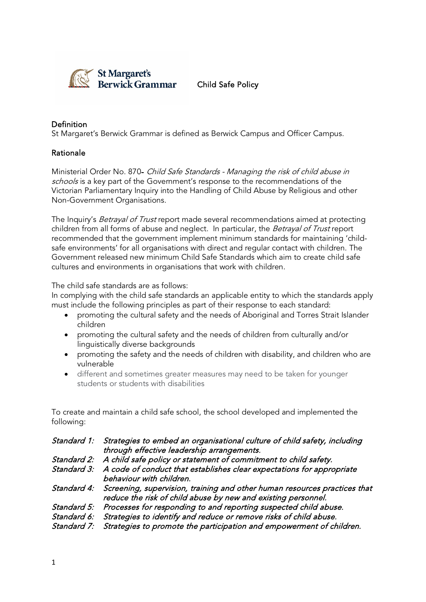

Child Safe Policy

# Definition

St Margaret's Berwick Grammar is defined as Berwick Campus and Officer Campus.

### Rationale

Ministerial Order No. 870- Child Safe Standards - Managing the risk of child abuse in schools is a key part of the Government's response to the recommendations of the Victorian Parliamentary Inquiry into the Handling of Child Abuse by Religious and other Non-Government Organisations.

The Inquiry's *Betrayal of Trust* report made several recommendations aimed at protecting children from all forms of abuse and neglect. In particular, the Betrayal of Trust report recommended that the government implement minimum standards for maintaining 'childsafe environments' for all organisations with direct and regular contact with children. The Government released new minimum Child Safe Standards which aim to create child safe cultures and environments in organisations that work with children.

The child safe standards are as follows:

In complying with the child safe standards an applicable entity to which the standards apply must include the following principles as part of their response to each standard:

- promoting the cultural safety and the needs of Aboriginal and Torres Strait Islander children
- promoting the cultural safety and the needs of children from culturally and/or linguistically diverse backgrounds
- promoting the safety and the needs of children with disability, and children who are vulnerable
- different and sometimes greater measures may need to be taken for younger students or students with disabilities

To create and maintain a child safe school, the school developed and implemented the following:

| Standard 1: Strategies to embed an organisational culture of child safety, including<br>through effective leadership arrangements.                     |
|--------------------------------------------------------------------------------------------------------------------------------------------------------|
| Standard 2: A child safe policy or statement of commitment to child safety.                                                                            |
| Standard 3: A code of conduct that establishes clear expectations for appropriate<br>behaviour with children.                                          |
| Standard 4: Screening, supervision, training and other human resources practices that<br>reduce the risk of child abuse by new and existing personnel. |
| Standard 5: Processes for responding to and reporting suspected child abuse.                                                                           |
| Standard 6: Strategies to identify and reduce or remove risks of child abuse.                                                                          |
| Standard 7: Strategies to promote the participation and empowerment of children.                                                                       |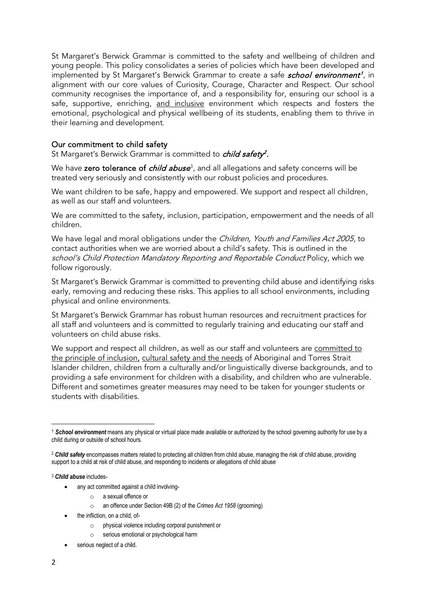St Margaret's Berwick Grammar is committed to the safety and wellbeing of children and young people. This policy consolidates a series of policies which have been developed and implemented by St Margaret's Berwick Grammar to create a safe *school environment<sup>[1](#page-1-0)</sup>*, in alignment with our core values of Curiosity, Courage, Character and Respect. Our school community recognises the importance of, and a responsibility for, ensuring our school is a safe, supportive, enriching, and inclusive environment which respects and fosters the emotional, psychological and physical wellbeing of its students, enabling them to thrive in their learning and development.

### Our commitment to child safety

St Margaret's Berwick Grammar is committed to *child safety<sup>[2](#page-1-1)</sup>*.

We have **zero tolerance of** *child abuse***[3](#page-1-2),** and all allegations and safety concerns will be treated very seriously and consistently with our robust policies and procedures.

We want children to be safe, happy and empowered. We support and respect all children, as well as our staff and volunteers.

We are committed to the safety, inclusion, participation, empowerment and the needs of all children.

We have legal and moral obligations under the *Children, Youth and Families Act 2005*, to contact authorities when we are worried about a child's safety. This is outlined in the school's Child Protection Mandatory Reporting and Reportable Conduct Policy, which we follow rigorously.

St Margaret's Berwick Grammar is committed to preventing child abuse and identifying risks early, removing and reducing these risks. This applies to all school environments, including physical and online environments.

St Margaret's Berwick Grammar has robust human resources and recruitment practices for all staff and volunteers and is committed to regularly training and educating our staff and volunteers on child abuse risks.

We support and respect all children, as well as our staff and volunteers are committed to the principle of inclusion, cultural safety and the needs of Aboriginal and Torres Strait Islander children, children from a culturally and/or linguistically diverse backgrounds, and to providing a safe environment for children with a disability, and children who are vulnerable. Different and sometimes greater measures may need to be taken for younger students or students with disabilities.

<span id="page-1-2"></span><sup>3</sup> *Child abuse* includes-

- any act committed against a child involving
	- o a sexual offence or
	- o an offence under Section 49B (2) of the *Crimes Act 1958* (grooming)
- the infliction, on a child, of
	- physical violence including corporal punishment or
	- o serious emotional or psychological harm
- serious neglect of a child.

<span id="page-1-0"></span><sup>1</sup> *School environment* means any physical or virtual place made available or authorized by the school governing authority for use by a child during or outside of school hours.

<span id="page-1-1"></span><sup>2</sup> *Child safety* encompasses matters related to protecting all children from child abuse, managing the risk of child abuse, providing support to a child at risk of child abuse, and responding to incidents or allegations of child abuse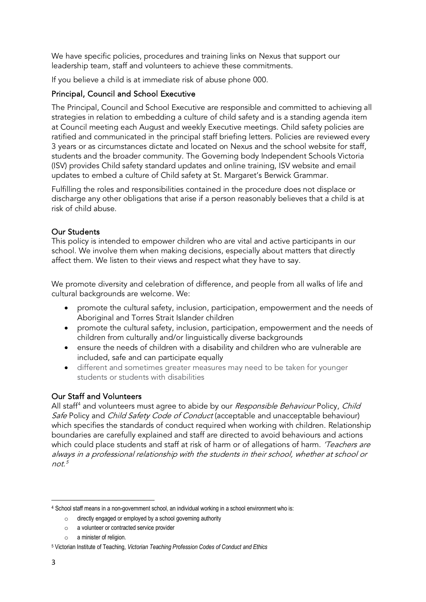We have specific policies, procedures and training links on Nexus that support our leadership team, staff and volunteers to achieve these commitments.

If you believe a child is at immediate risk of abuse phone 000.

# Principal, Council and School Executive

The Principal, Council and School Executive are responsible and committed to achieving all strategies in relation to embedding a culture of child safety and is a standing agenda item at Council meeting each August and weekly Executive meetings. Child safety policies are ratified and communicated in the principal staff briefing letters. Policies are reviewed every 3 years or as circumstances dictate and located on Nexus and the school website for staff, students and the broader community. The Governing body Independent Schools Victoria (ISV) provides Child safety standard updates and online training, ISV website and email updates to embed a culture of Child safety at St. Margaret's Berwick Grammar.

Fulfilling the roles and responsibilities contained in the procedure does not displace or discharge any other obligations that arise if a person reasonably believes that a child is at risk of child abuse.

### Our Students

This policy is intended to empower children who are vital and active participants in our school. We involve them when making decisions, especially about matters that directly affect them. We listen to their views and respect what they have to say.

We promote diversity and celebration of difference, and people from all walks of life and cultural backgrounds are welcome. We:

- promote the cultural safety, inclusion, participation, empowerment and the needs of Aboriginal and Torres Strait Islander children
- promote the cultural safety, inclusion, participation, empowerment and the needs of children from culturally and/or linguistically diverse backgrounds
- ensure the needs of children with a disability and children who are vulnerable are included, safe and can participate equally
- different and sometimes greater measures may need to be taken for younger students or students with disabilities

# Our Staff and Volunteers

All staff<sup>[4](#page-2-0)</sup> and volunteers must agree to abide by our Responsible Behaviour Policy, Child Safe Policy and Child Safety Code of Conduct (acceptable and unacceptable behaviour) which specifies the standards of conduct required when working with children. Relationship boundaries are carefully explained and staff are directed to avoid behaviours and actions which could place students and staff at risk of harm or of allegations of harm. 'Teachers are always in a professional relationship with the students in their school, whether at school or  $not<sup>5</sup>$  $not<sup>5</sup>$  $not<sup>5</sup>$ 

<span id="page-2-0"></span><sup>4</sup> School staff means in a non-government school, an individual working in a school environment who is:

o directly engaged or employed by a school governing authority

o a volunteer or contracted service provider

o a minister of religion.

<span id="page-2-1"></span><sup>5</sup> Victorian Institute of Teaching, *Victorian Teaching Profession Codes of Conduct and Ethics*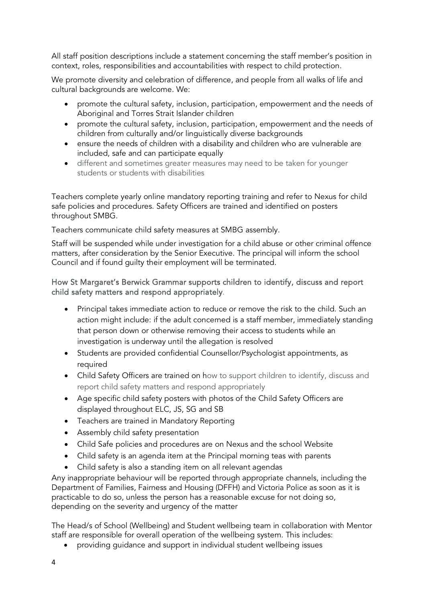All staff position descriptions include a statement concerning the staff member's position in context, roles, responsibilities and accountabilities with respect to child protection.

We promote diversity and celebration of difference, and people from all walks of life and cultural backgrounds are welcome. We:

- promote the cultural safety, inclusion, participation, empowerment and the needs of Aboriginal and Torres Strait Islander children
- promote the cultural safety, inclusion, participation, empowerment and the needs of children from culturally and/or linguistically diverse backgrounds
- ensure the needs of children with a disability and children who are vulnerable are included, safe and can participate equally
- different and sometimes greater measures may need to be taken for younger students or students with disabilities

Teachers complete yearly online mandatory reporting training and refer to Nexus for child safe policies and procedures. Safety Officers are trained and identified on posters throughout SMBG.

Teachers communicate child safety measures at SMBG assembly.

Staff will be suspended while under investigation for a child abuse or other criminal offence matters, after consideration by the Senior Executive. The principal will inform the school Council and if found guilty their employment will be terminated.

# How St Margaret's Berwick Grammar supports children to identify, discuss and report child safety matters and respond appropriately.

- Principal takes immediate action to reduce or remove the risk to the child. Such an action might include: if the adult concerned is a staff member, immediately standing that person down or otherwise removing their access to students while an investigation is underway until the allegation is resolved
- Students are provided confidential Counsellor/Psychologist appointments, as required
- Child Safety Officers are trained on how to support children to identify, discuss and report child safety matters and respond appropriately
- Age specific child safety posters with photos of the Child Safety Officers are displayed throughout ELC, JS, SG and SB
- Teachers are trained in Mandatory Reporting
- Assembly child safety presentation
- Child Safe policies and procedures are on Nexus and the school Website
- Child safety is an agenda item at the Principal morning teas with parents
- Child safety is also a standing item on all relevant agendas

Any inappropriate behaviour will be reported through appropriate channels, including the Department of Families, Fairness and Housing (DFFH) and Victoria Police as soon as it is practicable to do so, unless the person has a reasonable excuse for not doing so, depending on the severity and urgency of the matter

The Head/s of School (Wellbeing) and Student wellbeing team in collaboration with Mentor staff are responsible for overall operation of the wellbeing system. This includes:

• providing guidance and support in individual student wellbeing issues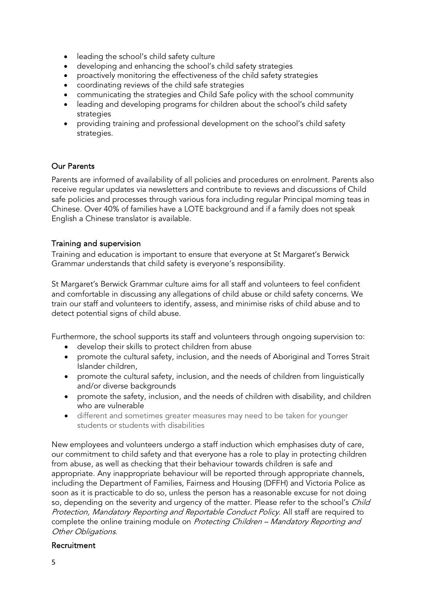- leading the school's child safety culture
- developing and enhancing the school's child safety strategies
- proactively monitoring the effectiveness of the child safety strategies
- coordinating reviews of the child safe strategies
- communicating the strategies and Child Safe policy with the school community
- leading and developing programs for children about the school's child safety strategies
- providing training and professional development on the school's child safety strategies.

### Our Parents

Parents are informed of availability of all policies and procedures on enrolment. Parents also receive regular updates via newsletters and contribute to reviews and discussions of Child safe policies and processes through various fora including regular Principal morning teas in Chinese. Over 40% of families have a LOTE background and if a family does not speak English a Chinese translator is available.

# Training and supervision

Training and education is important to ensure that everyone at St Margaret's Berwick Grammar understands that child safety is everyone's responsibility.

St Margaret's Berwick Grammar culture aims for all staff and volunteers to feel confident and comfortable in discussing any allegations of child abuse or child safety concerns. We train our staff and volunteers to identify, assess, and minimise risks of child abuse and to detect potential signs of child abuse.

Furthermore, the school supports its staff and volunteers through ongoing supervision to:

- develop their skills to protect children from abuse
- promote the cultural safety, inclusion, and the needs of Aboriginal and Torres Strait Islander children,
- promote the cultural safety, inclusion, and the needs of children from linguistically and/or diverse backgrounds
- promote the safety, inclusion, and the needs of children with disability, and children who are vulnerable
- different and sometimes greater measures may need to be taken for younger students or students with disabilities

New employees and volunteers undergo a staff induction which emphasises duty of care, our commitment to child safety and that everyone has a role to play in protecting children from abuse, as well as checking that their behaviour towards children is safe and appropriate. Any inappropriate behaviour will be reported through appropriate channels, including the Department of Families, Fairness and Housing (DFFH) and Victoria Police as soon as it is practicable to do so, unless the person has a reasonable excuse for not doing so, depending on the severity and urgency of the matter. Please refer to the school's Child Protection, Mandatory Reporting and Reportable Conduct Policy. All staff are required to complete the online training module on *Protecting Children – Mandatory Reporting and* Other Obligations.

### Recruitment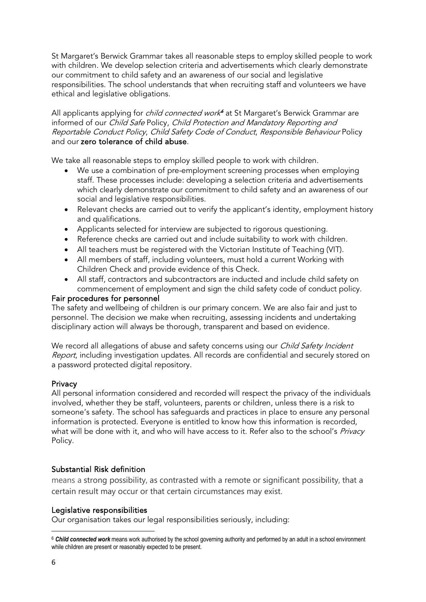St Margaret's Berwick Grammar takes all reasonable steps to employ skilled people to work with children. We develop selection criteria and advertisements which clearly demonstrate our commitment to child safety and an awareness of our social and legislative responsibilities. The school understands that when recruiting staff and volunteers we have ethical and legislative obligations.

All applicants applying for *child connected work<sup>6</sup>* at St Margaret's Berwick Grammar are informed of our Child Safe Policy, Child Protection and Mandatory Reporting and Reportable Conduct Policy, Child Safety Code of Conduct, Responsible Behaviour Policy and our zero tolerance of child abuse.

We take all reasonable steps to employ skilled people to work with children.

- We use a combination of pre-employment screening processes when employing staff. These processes include: developing a selection criteria and advertisements which clearly demonstrate our commitment to child safety and an awareness of our social and legislative responsibilities.
- Relevant checks are carried out to verify the applicant's identity, employment history and qualifications.
- Applicants selected for interview are subjected to rigorous questioning.
- Reference checks are carried out and include suitability to work with children.
- All teachers must be registered with the Victorian Institute of Teaching (VIT).
- All members of staff, including volunteers, must hold a current Working with Children Check and provide evidence of this Check.
- All staff, contractors and subcontractors are inducted and include child safety on commencement of employment and sign the child safety code of conduct policy.

### Fair procedures for personnel

The safety and wellbeing of children is our primary concern. We are also fair and just to personnel. The decision we make when recruiting, assessing incidents and undertaking disciplinary action will always be thorough, transparent and based on evidence.

We record all allegations of abuse and safety concerns using our Child Safety Incident Report, including investigation updates. All records are confidential and securely stored on a password protected digital repository.

### **Privacy**

All personal information considered and recorded will respect the privacy of the individuals involved, whether they be staff, volunteers, parents or children, unless there is a risk to someone's safety. The school has safeguards and practices in place to ensure any personal information is protected. Everyone is entitled to know how this information is recorded, what will be done with it, and who will have access to it. Refer also to the school's Privacy Policy.

### Substantial Risk definition

[means a](https://www.lawinsider.com/dictionary/substantial-risk-of-child-sexual-abuse) strong possibility, as contrasted with a remote or significant possibility, that a certain result may occur or that certain circumstances may exist.

### Legislative responsibilities

Our organisation takes our legal responsibilities seriously, including:

<span id="page-5-0"></span><sup>6</sup> *Child connected work* means work authorised by the school governing authority and performed by an adult in a school environment while children are present or reasonably expected to be present.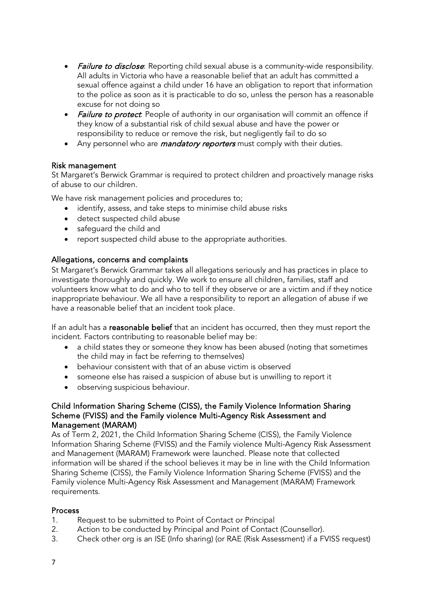- **Failure to disclose**: Reporting child sexual abuse is a community-wide responsibility. All adults in Victoria who have a reasonable belief that an adult has committed a sexual offence against a child under 16 have an obligation to report that information to the police as soon as it is practicable to do so, unless the person has a reasonable excuse for not doing so
- **Failure to protect**: People of authority in our organisation will commit an offence if they know of a substantial risk of child sexual abuse and have the power or responsibility to reduce or remove the risk, but negligently fail to do so
- Any personnel who are *mandatory reporters* must comply with their duties.

### Risk management

St Margaret's Berwick Grammar is required to protect children and proactively manage risks of abuse to our children.

We have risk management policies and procedures to;

- identify, assess, and take steps to minimise child abuse risks
- detect suspected child abuse
- safeguard the child and
- report suspected child abuse to the appropriate authorities.

### Allegations, concerns and complaints

St Margaret's Berwick Grammar takes all allegations seriously and has practices in place to investigate thoroughly and quickly. We work to ensure all children, families, staff and volunteers know what to do and who to tell if they observe or are a victim and if they notice inappropriate behaviour. We all have a responsibility to report an allegation of abuse if we have a reasonable belief that an incident took place.

If an adult has a reasonable belief that an incident has occurred, then they must report the incident. Factors contributing to reasonable belief may be:

- a child states they or someone they know has been abused (noting that sometimes the child may in fact be referring to themselves)
- behaviour consistent with that of an abuse victim is observed
- someone else has raised a suspicion of abuse but is unwilling to report it
- observing suspicious behaviour.

### Child Information Sharing Scheme (CISS), the Family Violence Information Sharing Scheme (FVISS) and the Family violence Multi-Agency Risk Assessment and Management (MARAM)

As of Term 2, 2021, the Child Information Sharing Scheme (CISS), the Family Violence Information Sharing Scheme (FVISS) and the Family violence Multi-Agency Risk Assessment and Management (MARAM) Framework were launched. Please note that collected information will be shared if the school believes it may be in line with the Child Information Sharing Scheme (CISS), the Family Violence Information Sharing Scheme (FVISS) and the Family violence Multi-Agency Risk Assessment and Management (MARAM) Framework requirements.

### Process

- 1. Request to be submitted to Point of Contact or Principal
- 2. Action to be conducted by Principal and Point of Contact (Counsellor).
- 3. Check other org is an ISE (Info sharing) (or RAE (Risk Assessment) if a FVISS request)